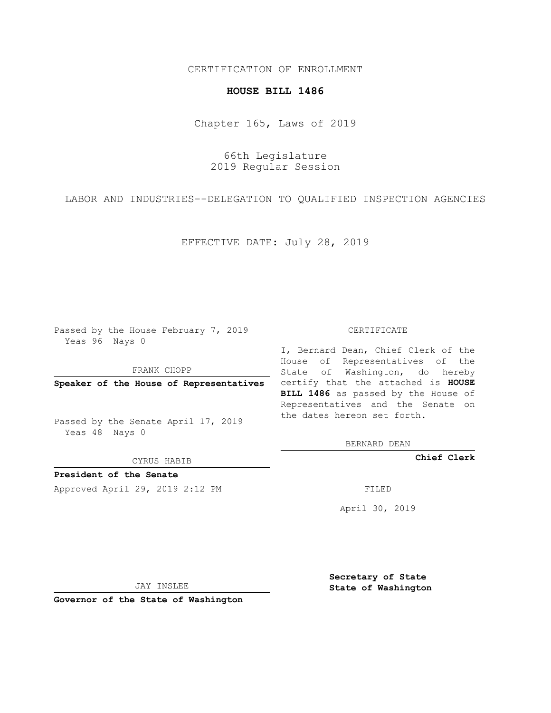## CERTIFICATION OF ENROLLMENT

## **HOUSE BILL 1486**

Chapter 165, Laws of 2019

66th Legislature 2019 Regular Session

LABOR AND INDUSTRIES--DELEGATION TO QUALIFIED INSPECTION AGENCIES

EFFECTIVE DATE: July 28, 2019

Passed by the House February 7, 2019 Yeas 96 Nays 0

FRANK CHOPP

Passed by the Senate April 17, 2019 Yeas 48 Nays 0

CYRUS HABIB

**President of the Senate**

Approved April 29, 2019 2:12 PM FILED

## CERTIFICATE

**Speaker of the House of Representatives** certify that the attached is **HOUSE** I, Bernard Dean, Chief Clerk of the House of Representatives of the State of Washington, do hereby **BILL 1486** as passed by the House of Representatives and the Senate on the dates hereon set forth.

BERNARD DEAN

**Chief Clerk**

April 30, 2019

JAY INSLEE

**Governor of the State of Washington**

**Secretary of State State of Washington**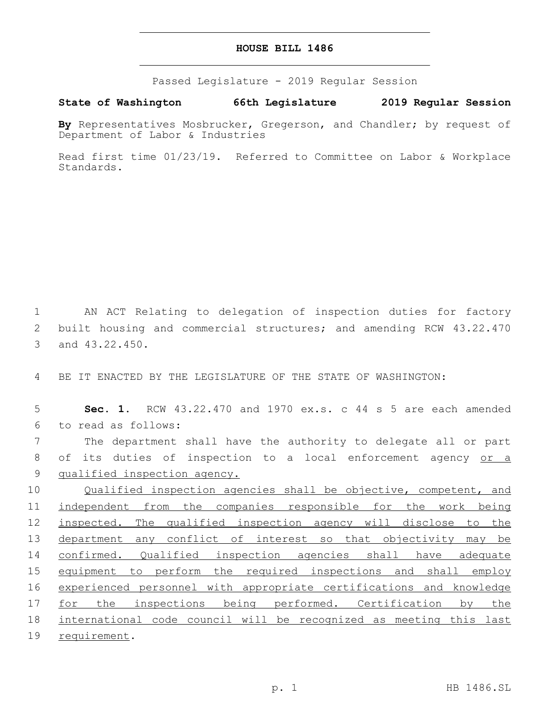## **HOUSE BILL 1486**

Passed Legislature - 2019 Regular Session

**State of Washington 66th Legislature 2019 Regular Session**

**By** Representatives Mosbrucker, Gregerson, and Chandler; by request of Department of Labor & Industries

Read first time 01/23/19. Referred to Committee on Labor & Workplace Standards.

1 AN ACT Relating to delegation of inspection duties for factory 2 built housing and commercial structures; and amending RCW 43.22.470 3 and 43.22.450.

4 BE IT ENACTED BY THE LEGISLATURE OF THE STATE OF WASHINGTON:

5 **Sec. 1.** RCW 43.22.470 and 1970 ex.s. c 44 s 5 are each amended to read as follows:6

7 The department shall have the authority to delegate all or part 8 of its duties of inspection to a local enforcement agency or a 9 qualified inspection agency.

10 Qualified inspection agencies shall be objective, competent, and 11 independent from the companies responsible for the work being 12 inspected. The qualified inspection agency will disclose to the 13 department any conflict of interest so that objectivity may be 14 confirmed. Qualified inspection agencies shall have adequate 15 equipment to perform the required inspections and shall employ 16 experienced personnel with appropriate certifications and knowledge 17 for the inspections being performed. Certification by the 18 international code council will be recognized as meeting this last 19 requirement.